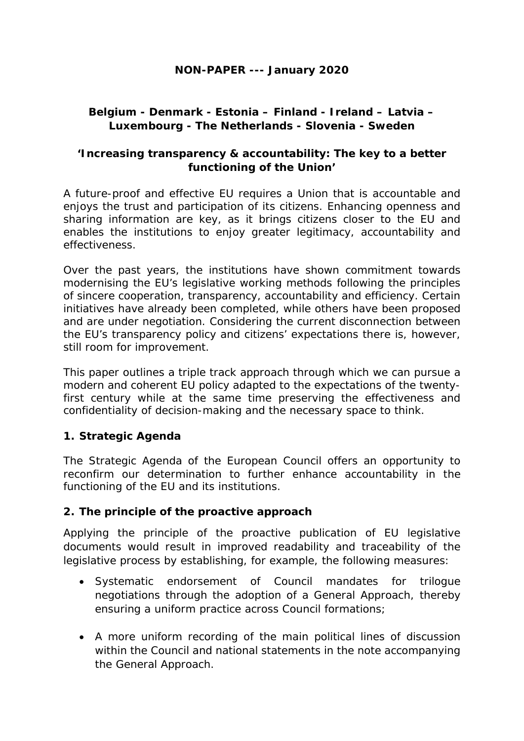#### **NON-PAPER --- January 2020**

## **Belgium - Denmark - Estonia – Finland - Ireland – Latvia – Luxembourg - The Netherlands - Slovenia - Sweden**

#### **'Increasing transparency & accountability: The key to a better functioning of the Union'**

A future-proof and effective EU requires a Union that is accountable and enjoys the trust and participation of its citizens. Enhancing openness and sharing information are key, as it brings citizens closer to the EU and enables the institutions to enjoy greater legitimacy, accountability and effectiveness.

Over the past years, the institutions have shown commitment towards modernising the EU's legislative working methods following the principles of sincere cooperation, transparency, accountability and efficiency. Certain initiatives have already been completed, while others have been proposed and are under negotiation. Considering the current disconnection between the EU's transparency policy and citizens' expectations there is, however, still room for improvement.

This paper outlines a triple track approach through which we can pursue a modern and coherent EU policy adapted to the expectations of the twentyfirst century while at the same time preserving the effectiveness and confidentiality of decision-making and the necessary space to think.

#### **1. Strategic Agenda**

The Strategic Agenda of the European Council offers an opportunity to reconfirm our determination to further enhance accountability in the functioning of the EU and its institutions.

#### **2. The principle of the proactive approach**

Applying the principle of the proactive publication of EU legislative documents would result in improved readability and traceability of the legislative process by establishing, for example, the following measures:

- Systematic endorsement of Council mandates for trilogue negotiations through the adoption of a General Approach, thereby ensuring a uniform practice across Council formations;
- A more uniform recording of the main political lines of discussion within the Council and national statements in the note accompanying the General Approach.